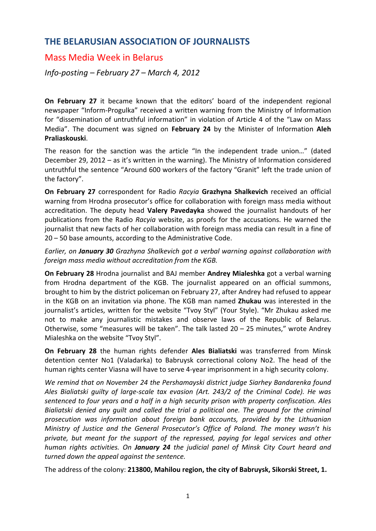## **THE BELARUSIAN ASSOCIATION OF JOURNALISTS**

## Mass Media Week in Belarus

*Info‐posting – February 27 – March 4, 2012*

**On February 27** it became known that the editors' board of the independent regional newspaper "Inform‐Progulka" received a written warning from the Ministry of Information for "dissemination of untruthful information" in violation of Article 4 of the "Law on Mass Media". The document was signed on **February 24** by the Minister of Information **Aleh Praliaskouski**.

The reason for the sanction was the article "In the independent trade union…" (dated December 29, 2012 – as it's written in the warning). The Ministry of Information considered untruthful the sentence "Around 600 workers of the factory "Granit" left the trade union of the factory".

**On February 27** correspondent for Radio *Racyia* **Grazhyna Shalkevich** received an official warning from Hrodna prosecutor's office for collaboration with foreign mass media without accreditation. The deputy head **Valery Pavedayka** showed the journalist handouts of her publications from the Radio *Racyia* website, as proofs for the accusations. He warned the journalist that new facts of her collaboration with foreign mass media can result in a fine of 20 – 50 base amounts, according to the Administrative Code.

*Earlier, on January 30 Grazhyna Shalkevich got a verbal warning against collaboration with foreign mass media without accreditation from the KGB.*

**On February 28** Hrodna journalist and BAJ member **Andrey Mialeshka** got a verbal warning from Hrodna department of the KGB. The journalist appeared on an official summons, brought to him by the district policeman on February 27, after Andrey had refused to appear in the KGB on an invitation via phone. The KGB man named **Zhukau** was interested in the journalist's articles, written for the website "Tvoy Styl" (Your Style). "Mr Zhukau asked me not to make any journalistic mistakes and observe laws of the Republic of Belarus. Otherwise, some "measures will be taken". The talk lasted 20 – 25 minutes," wrote Andrey Mialeshka on the website "Tvoy Styl".

**On February 28** the human rights defender **Ales Bialiatski** was transferred from Minsk detention center No1 (Valadarka) to Babruysk correctional colony No2. The head of the human rights center Viasna will have to serve 4‐year imprisonment in a high security colony.

*We remind that on November 24 the Pershamayski district judge Siarhey Bandarenka found Ales Bialiatski guilty of large‐scale tax evasion (Art. 243/2 of the Criminal Code). He was sentenced to four years and a half in a high security prison with property confiscation. Ales Bialiatski denied any guilt and called the trial a political one. The ground for the criminal prosecution was information about foreign bank accounts, provided by the Lithuanian Ministry of Justice and the General Prosecutor's Office of Poland. The money wasn't his private, but meant for the support of the repressed, paying for legal services and other human rights activities. On January 24 the judicial panel of Minsk City Court heard and turned down the appeal against the sentence.*

The address of the colony: **213800, Mahilou region, the city of Babruysk, Sikorski Street, 1.**